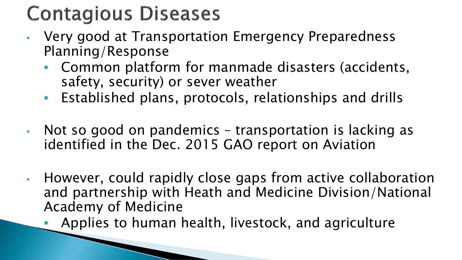## **Contagious Diseases**

- Very good at Transportation Emergency Preparedness Planning/Response
	- Common platform for manmade disasters (accidents, safety, security) or sever weather
	- Established plans, protocols, relationships and drills
- Not so good on pandemics transportation is lacking as identified in the Dec. 2015 GAO report on Aviation
- However, could rapidly close gaps from active collaboration and partnership with Heath and Medicine Division/National Academy of Medicine
	- Applies to human health, livestock, and agriculture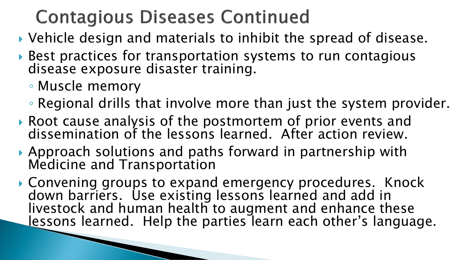## **Contagious Diseases Continued**

- Vehicle design and materials to inhibit the spread of disease.
- ▶ Best practices for transportation systems to run contagious disease exposure disaster training.
	- Muscle memory
	- Regional drills that involve more than just the system provider.
- Root cause analysis of the postmortem of prior events and dissemination of the lessons learned. After action review.
- Approach solutions and paths forward in partnership with Medicine and Transportation
- Convening groups to expand emergency procedures. Knock down barriers. Use existing lessons learned and add in livestock and human health to augment and enhance these lessons learned. Help the parties learn each other's language.